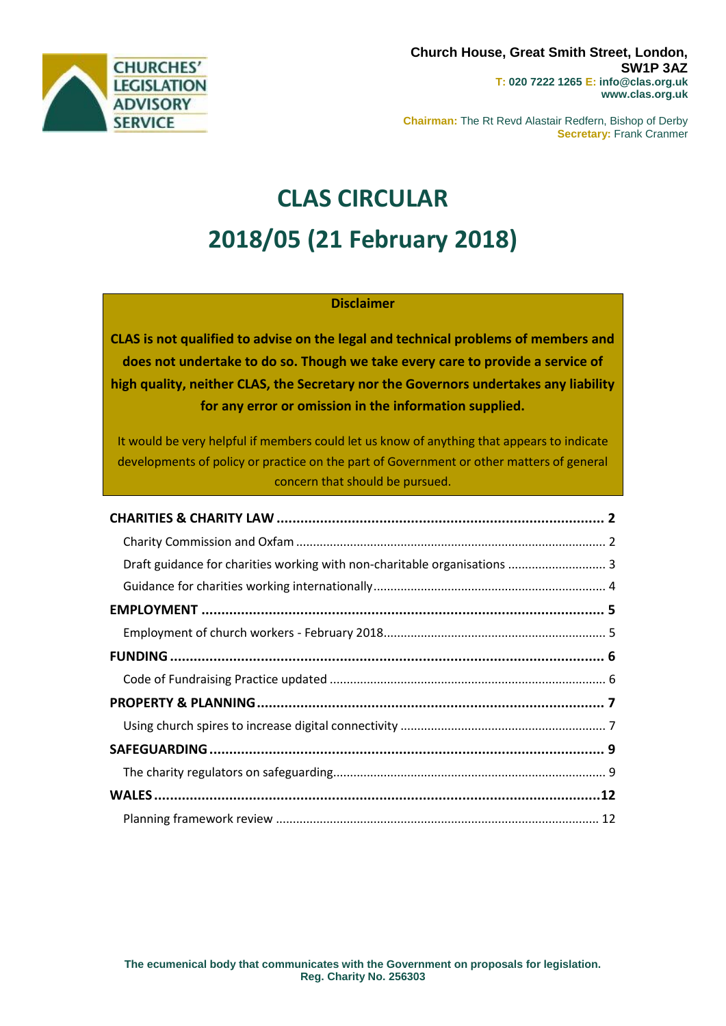

**Chairman:** The Rt Revd Alastair Redfern, Bishop of Derby **Secretary:** Frank Cranmer

# **CLAS CIRCULAR 2018/05 (21 February 2018)**

## **Disclaimer**

**CLAS is not qualified to advise on the legal and technical problems of members and does not undertake to do so. Though we take every care to provide a service of high quality, neither CLAS, the Secretary nor the Governors undertakes any liability for any error or omission in the information supplied.**

It would be very helpful if members could let us know of anything that appears to indicate developments of policy or practice on the part of Government or other matters of general concern that should be pursued.

| Draft guidance for charities working with non-charitable organisations  3 |  |
|---------------------------------------------------------------------------|--|
|                                                                           |  |
|                                                                           |  |
|                                                                           |  |
|                                                                           |  |
|                                                                           |  |
|                                                                           |  |
|                                                                           |  |
|                                                                           |  |
|                                                                           |  |
|                                                                           |  |
|                                                                           |  |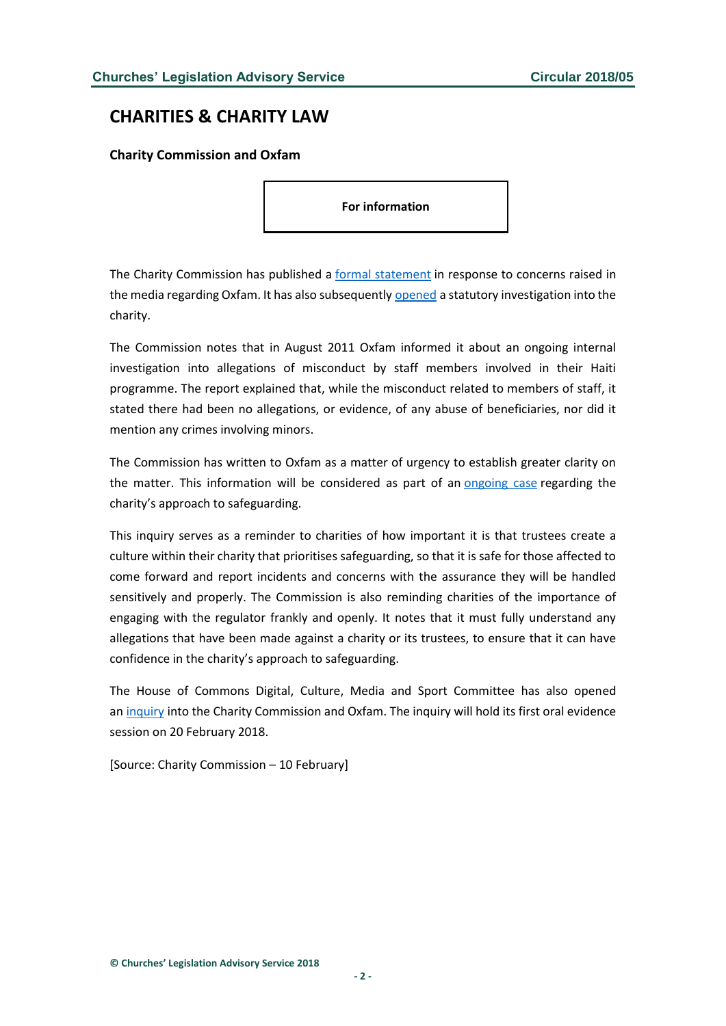# <span id="page-1-0"></span>**CHARITIES & CHARITY LAW**

<span id="page-1-1"></span>**Charity Commission and Oxfam**

**For information**

The Charity Commission has published a [formal statement](http://www.gov.uk/government/news/charity-commission-statement-on-oxfam) in response to concerns raised in the media regarding Oxfam. It has also subsequently [opened](http://www.gov.uk/government/news/charity-commission-opens-statutory-inquiry-into-oxfam-and-sets-out-steps-to-improve-safeguarding-in-the-charity-sector) a statutory investigation into the charity.

The Commission notes that in August 2011 Oxfam informed it about an ongoing internal investigation into allegations of misconduct by staff members involved in their Haiti programme. The report explained that, while the misconduct related to members of staff, it stated there had been no allegations, or evidence, of any abuse of beneficiaries, nor did it mention any crimes involving minors.

The Commission has written to Oxfam as a matter of urgency to establish greater clarity on the matter. This information will be considered as part of an [ongoing case](http://www.gov.uk/government/publications/charity-case-report-oxfam/oxfam-case-report) regarding the charity's approach to safeguarding.

This inquiry serves as a reminder to charities of how important it is that trustees create a culture within their charity that prioritises safeguarding, so that it is safe for those affected to come forward and report incidents and concerns with the assurance they will be handled sensitively and properly. The Commission is also reminding charities of the importance of engaging with the regulator frankly and openly. It notes that it must fully understand any allegations that have been made against a charity or its trustees, to ensure that it can have confidence in the charity's approach to safeguarding.

The House of Commons Digital, Culture, Media and Sport Committee has also opened an [inquiry](http://www.parliament.uk/business/committees/committees-a-z/commons-select/digital-culture-media-and-sport-committee/inquiries/parliament-2017/charitycommissionoxfam/) into the Charity Commission and Oxfam. The inquiry will hold its first oral evidence session on 20 February 2018.

[Source: Charity Commission – 10 February]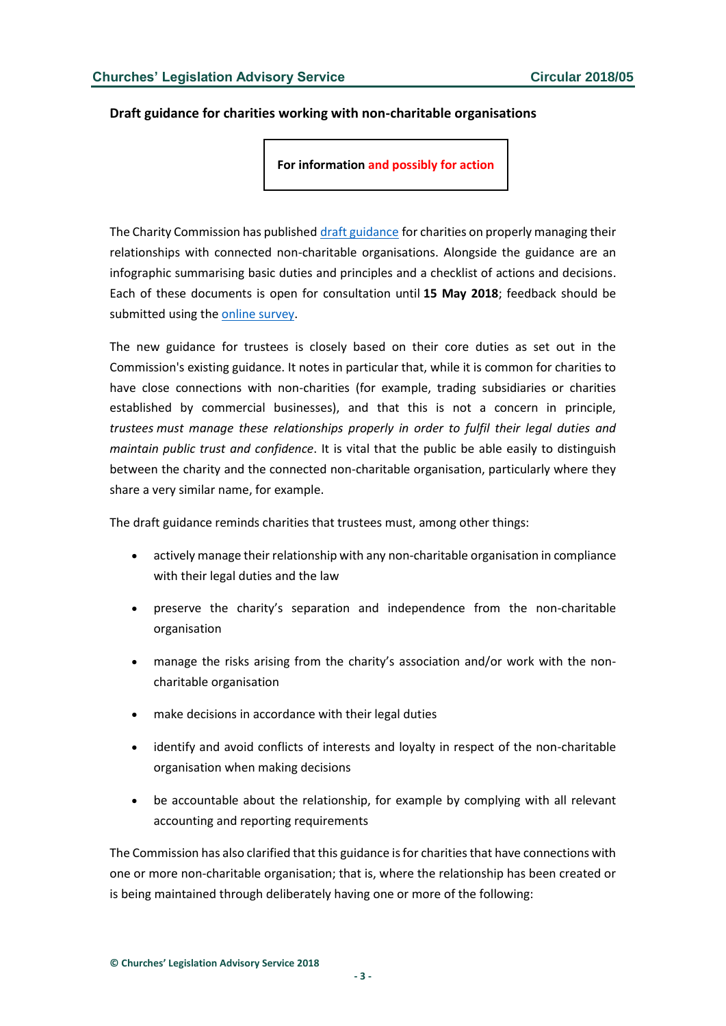#### <span id="page-2-0"></span>**Draft guidance for charities working with non-charitable organisations**

**For information and possibly for action**

The Charity Commission has published [draft guidance](http://www.gov.uk/government/consultations/charities-that-are-connected-with-non-charitable-organisations-maintaining-your-charitys-separation-and-independence) for charities on properly managing their relationships with connected non-charitable organisations. Alongside the guidance are an infographic summarising basic duties and principles and a checklist of actions and decisions. Each of these documents is open for consultation until **15 May 2018**; feedback should be submitted using the [online survey.](http://www.smartsurvey.co.uk/s/charitiesconnectedwithnon-charitableorganisations/)

The new guidance for trustees is closely based on their core duties as set out in the Commission's existing guidance. It notes in particular that, while it is common for charities to have close connections with non-charities (for example, trading subsidiaries or charities established by commercial businesses), and that this is not a concern in principle, *trustees must manage these relationships properly in order to fulfil their legal duties and maintain public trust and confidence*. It is vital that the public be able easily to distinguish between the charity and the connected non-charitable organisation, particularly where they share a very similar name, for example.

The draft guidance reminds charities that trustees must, among other things:

- actively manage their relationship with any non-charitable organisation in compliance with their legal duties and the law
- preserve the charity's separation and independence from the non-charitable organisation
- manage the risks arising from the charity's association and/or work with the noncharitable organisation
- make decisions in accordance with their legal duties
- identify and avoid conflicts of interests and loyalty in respect of the non-charitable organisation when making decisions
- be accountable about the relationship, for example by complying with all relevant accounting and reporting requirements

The Commission has also clarified that this guidance is for charities that have connections with one or more non-charitable organisation; that is, where the relationship has been created or is being maintained through deliberately having one or more of the following: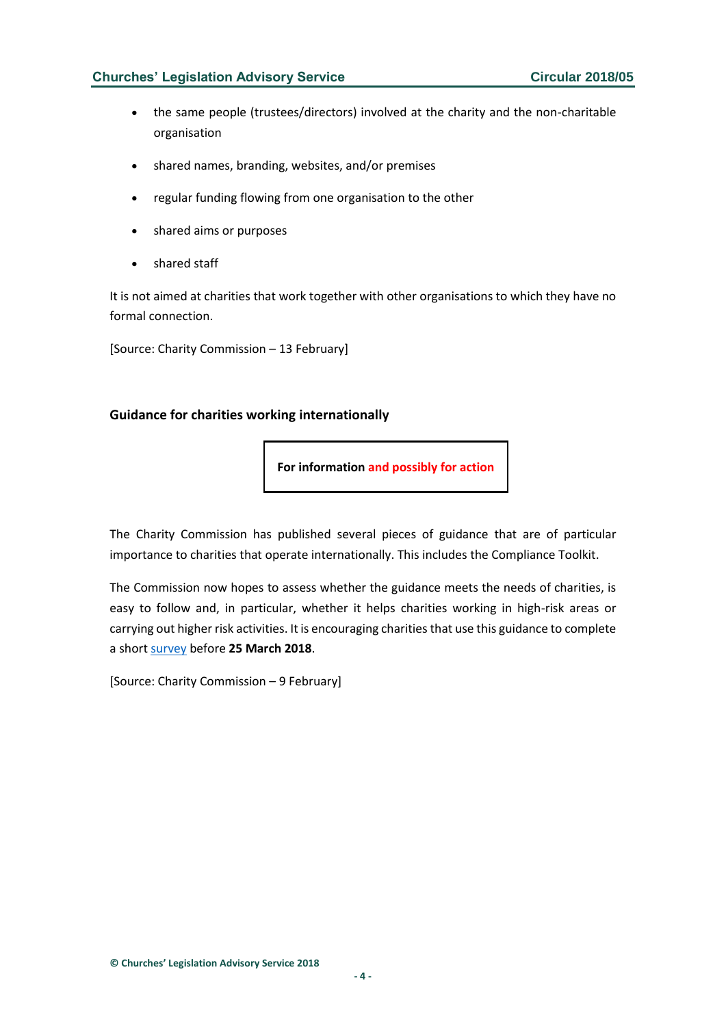### **Churches' Legislation Advisory Service Circular 2018/05**

- the same people (trustees/directors) involved at the charity and the non-charitable organisation
- shared names, branding, websites, and/or premises
- regular funding flowing from one organisation to the other
- shared aims or purposes
- shared staff

It is not aimed at charities that work together with other organisations to which they have no formal connection.

[Source: Charity Commission – 13 February]

#### <span id="page-3-0"></span>**Guidance for charities working internationally**

**For information and possibly for action**

The Charity Commission has published several pieces of guidance that are of particular importance to charities that operate internationally. This includes the Compliance Toolkit.

The Commission now hopes to assess whether the guidance meets the needs of charities, is easy to follow and, in particular, whether it helps charities working in high-risk areas or carrying out higher risk activities. It is encouraging charities that use this guidance to complete a short [survey](http://www.smartsurvey.co.uk/s/Survey-international-charities/) before **25 March 2018**.

[Source: Charity Commission – 9 February]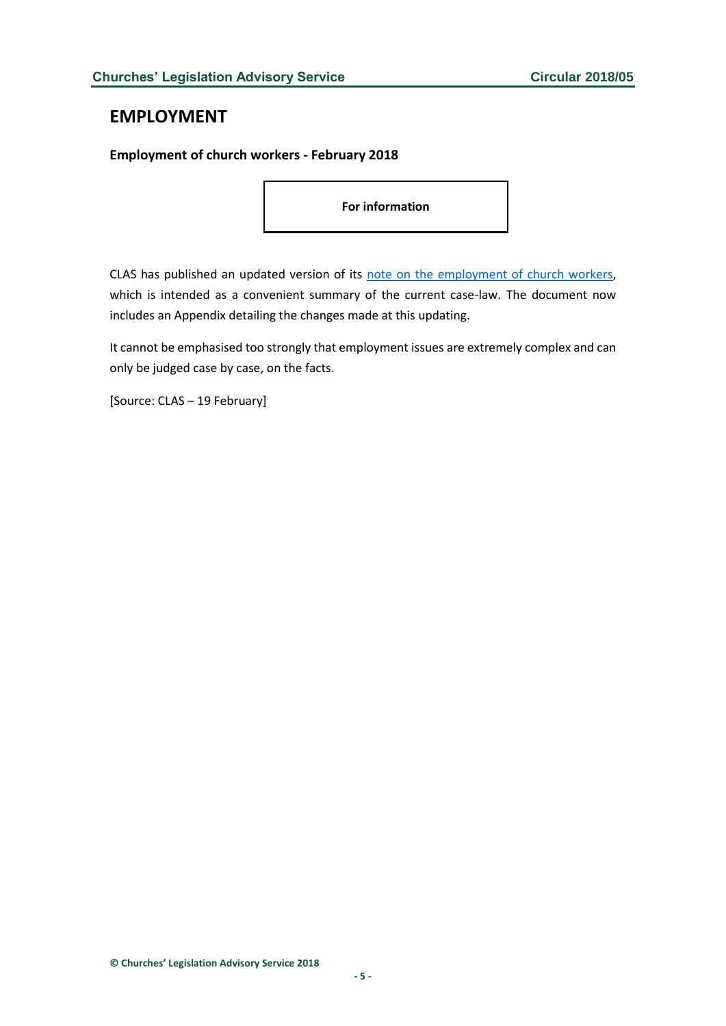# <span id="page-4-0"></span>**EMPLOYMENT**

### <span id="page-4-1"></span>**Employment of church workers - February 2018**

**For information**

CLAS has published an updated version of its note [on the employment of church workers,](http://www.churcheslegislation.org.uk/publications) which is intended as a convenient summary of the current case-law. The document now includes an Appendix detailing the changes made at this updating.

It cannot be emphasised too strongly that employment issues are extremely complex and can only be judged case by case, on the facts.

[Source: CLAS – 19 February]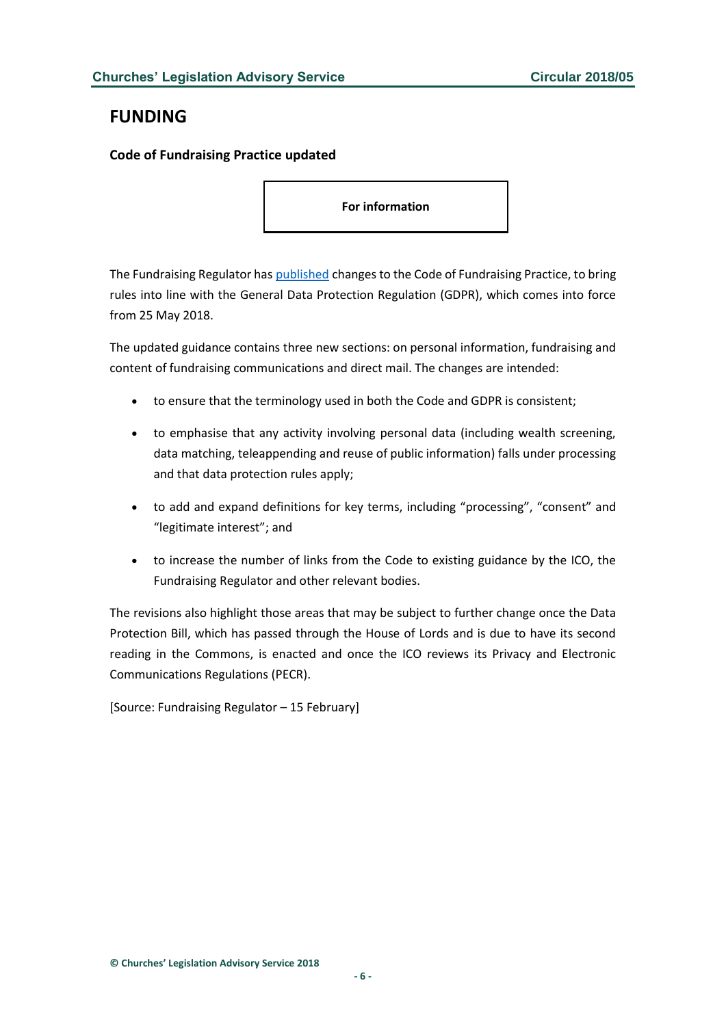# <span id="page-5-0"></span>**FUNDING**

<span id="page-5-1"></span>**Code of Fundraising Practice updated**

**For information**

The Fundraising Regulator has [published](http://www.fundraisingregulator.org.uk/2018/02/15/code-fundraising-practice-updated-data-protection/) changes to the Code of Fundraising Practice, to bring rules into line with the General Data Protection Regulation (GDPR), which comes into force from 25 May 2018.

The updated guidance contains three new sections: on personal information, fundraising and content of fundraising communications and direct mail. The changes are intended:

- to ensure that the terminology used in both the Code and GDPR is consistent;
- to emphasise that any activity involving personal data (including wealth screening, data matching, teleappending and reuse of public information) falls under processing and that data protection rules apply;
- to add and expand definitions for key terms, including "processing", "consent" and "legitimate interest"; and
- to increase the number of links from the Code to existing guidance by the ICO, the Fundraising Regulator and other relevant bodies.

The revisions also highlight those areas that may be subject to further change once the Data Protection Bill, which has passed through the House of Lords and is due to have its second reading in the Commons, is enacted and once the ICO reviews its Privacy and Electronic Communications Regulations (PECR).

[Source: Fundraising Regulator – 15 February]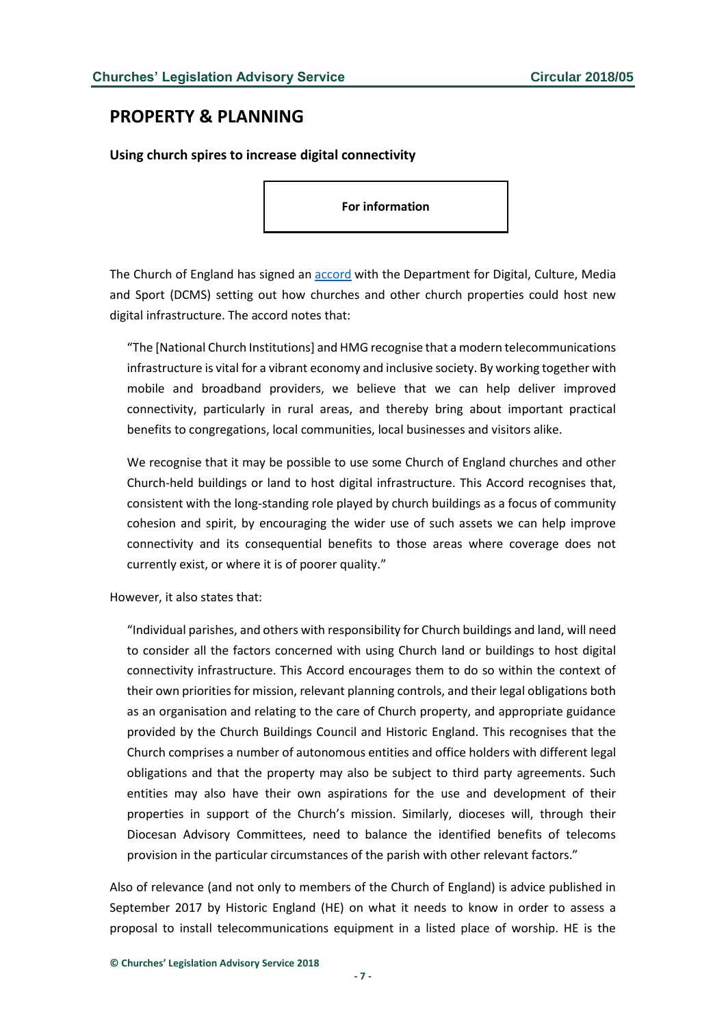# <span id="page-6-0"></span>**PROPERTY & PLANNING**

<span id="page-6-1"></span>**Using church spires to increase digital connectivity**

**For information**

The Church of England has signed an [accord](https://www.gov.uk/government/uploads/system/uploads/attachment_data/file/682176/2018_02_18_Church_of_England_-_HMG_Accord.docx__1_.pdf) with the Department for Digital, Culture, Media and Sport (DCMS) setting out how churches and other church properties could host new digital infrastructure. The accord notes that:

"The [National Church Institutions] and HMG recognise that a modern telecommunications infrastructure is vital for a vibrant economy and inclusive society. By working together with mobile and broadband providers, we believe that we can help deliver improved connectivity, particularly in rural areas, and thereby bring about important practical benefits to congregations, local communities, local businesses and visitors alike.

We recognise that it may be possible to use some Church of England churches and other Church-held buildings or land to host digital infrastructure. This Accord recognises that, consistent with the long-standing role played by church buildings as a focus of community cohesion and spirit, by encouraging the wider use of such assets we can help improve connectivity and its consequential benefits to those areas where coverage does not currently exist, or where it is of poorer quality."

However, it also states that:

"Individual parishes, and others with responsibility for Church buildings and land, will need to consider all the factors concerned with using Church land or buildings to host digital connectivity infrastructure. This Accord encourages them to do so within the context of their own priorities for mission, relevant planning controls, and their legal obligations both as an organisation and relating to the care of Church property, and appropriate guidance provided by the Church Buildings Council and Historic England. This recognises that the Church comprises a number of autonomous entities and office holders with different legal obligations and that the property may also be subject to third party agreements. Such entities may also have their own aspirations for the use and development of their properties in support of the Church's mission. Similarly, dioceses will, through their Diocesan Advisory Committees, need to balance the identified benefits of telecoms provision in the particular circumstances of the parish with other relevant factors."

Also of relevance (and not only to members of the Church of England) is advice published in September 2017 by Historic England (HE) on what it needs to know in order to assess a proposal to install telecommunications equipment in a listed place of worship. HE is the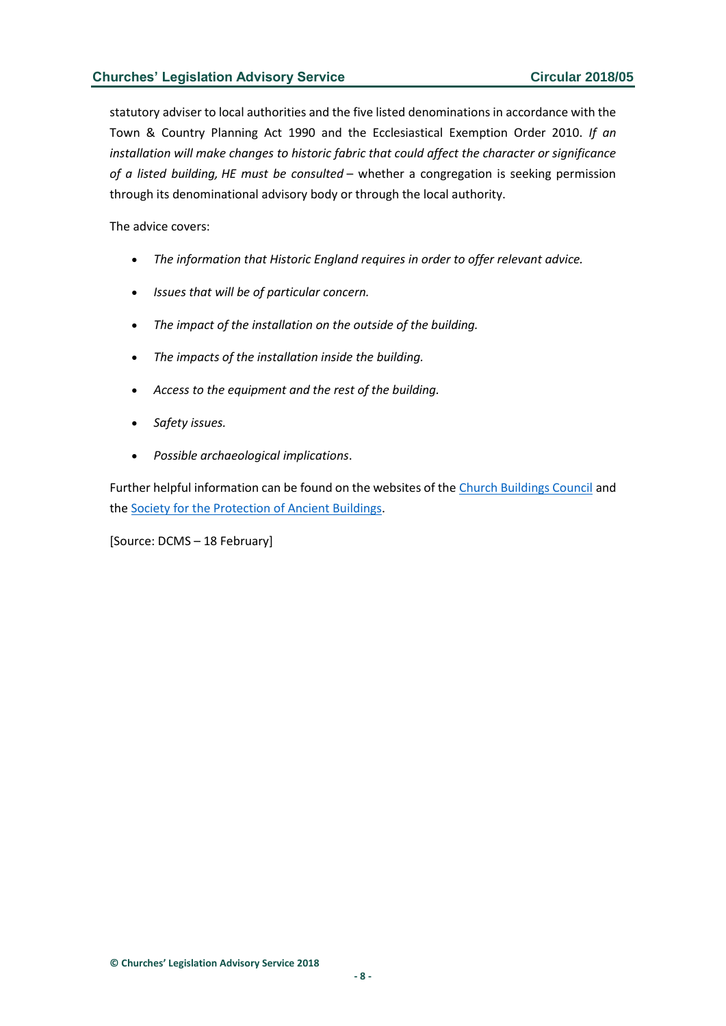statutory adviser to local authorities and the five listed denominations in accordance with the Town & Country Planning Act 1990 and the Ecclesiastical Exemption Order 2010. *If an installation will make changes to historic fabric that could affect the character or significance of a listed building, HE must be consulted* – whether a congregation is seeking permission through its denominational advisory body or through the local authority.

The advice covers:

- *The information that Historic England requires in order to offer relevant advice.*
- *Issues that will be of particular concern.*
- *The impact of the installation on the outside of the building.*
- *The impacts of the installation inside the building.*
- *Access to the equipment and the rest of the building.*
- *Safety issues.*
- *Possible archaeological implications*.

Further helpful information can be found on the websites of the [Church Buildings Council](http://www.churchcare.co.uk/churches/open-sustainable/telecoms) and the [Society for the Protection of Ancient Buildings.](https://www.spab.org.uk/advice/conservation-advice/telecommunications-installations/)

[Source: DCMS – 18 February]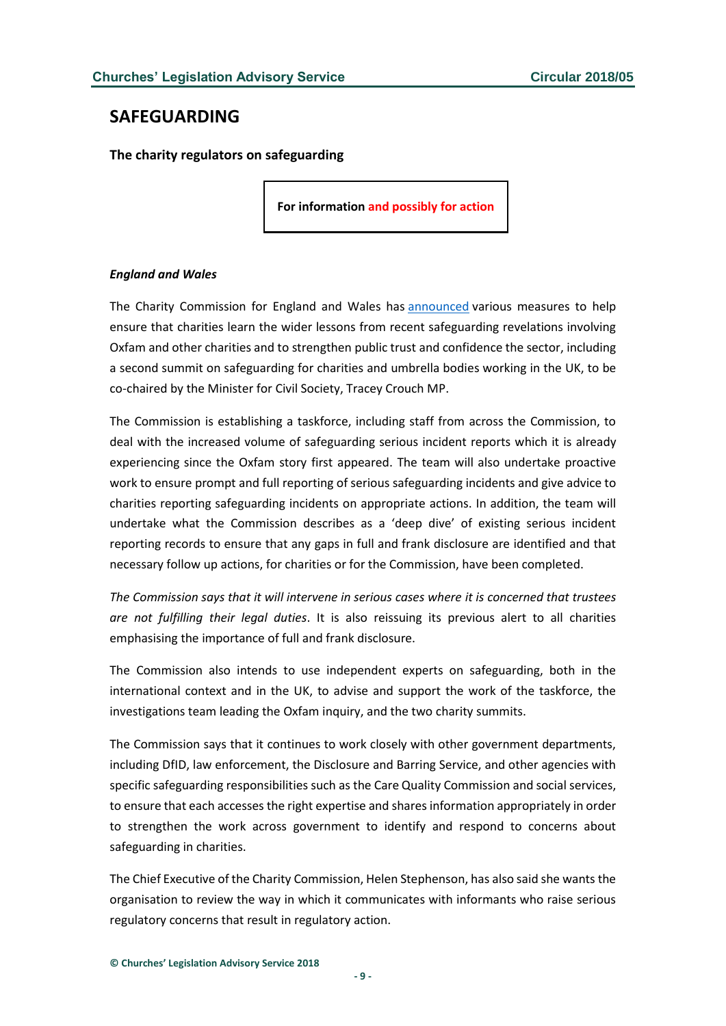# <span id="page-8-0"></span>**SAFEGUARDING**

<span id="page-8-1"></span>**The charity regulators on safeguarding**

**For information and possibly for action**

#### *England and Wales*

The Charity Commission for England and Wales has [announced](https://www.gov.uk/government/news/charity-commission-announces-suite-of-steps-on-safeguarding?utm_source=feedburner&utm_medium=email&utm_campaign=Feed%3A+CharityCommissionUpdates+%28Charity+Commission+updates%29) various measures to help ensure that charities learn the wider lessons from recent safeguarding revelations involving Oxfam and other charities and to strengthen public trust and confidence the sector, including a second summit on safeguarding for charities and umbrella bodies working in the UK, to be co-chaired by the Minister for Civil Society, Tracey Crouch MP.

The Commission is establishing a taskforce, including staff from across the Commission, to deal with the increased volume of safeguarding serious incident reports which it is already experiencing since the Oxfam story first appeared. The team will also undertake proactive work to ensure prompt and full reporting of serious safeguarding incidents and give advice to charities reporting safeguarding incidents on appropriate actions. In addition, the team will undertake what the Commission describes as a 'deep dive' of existing serious incident reporting records to ensure that any gaps in full and frank disclosure are identified and that necessary follow up actions, for charities or for the Commission, have been completed.

*The Commission says that it will intervene in serious cases where it is concerned that trustees are not fulfilling their legal duties*. It is also reissuing its previous alert to all charities emphasising the importance of full and frank disclosure.

The Commission also intends to use independent experts on safeguarding, both in the international context and in the UK, to advise and support the work of the taskforce, the investigations team leading the Oxfam inquiry, and the two charity summits.

The Commission says that it continues to work closely with other government departments, including DfID, law enforcement, the Disclosure and Barring Service, and other agencies with specific safeguarding responsibilities such as the Care Quality Commission and social services, to ensure that each accesses the right expertise and shares information appropriately in order to strengthen the work across government to identify and respond to concerns about safeguarding in charities.

The Chief Executive of the Charity Commission, Helen Stephenson, has also said she wants the organisation to review the way in which it communicates with informants who raise serious regulatory concerns that result in regulatory action.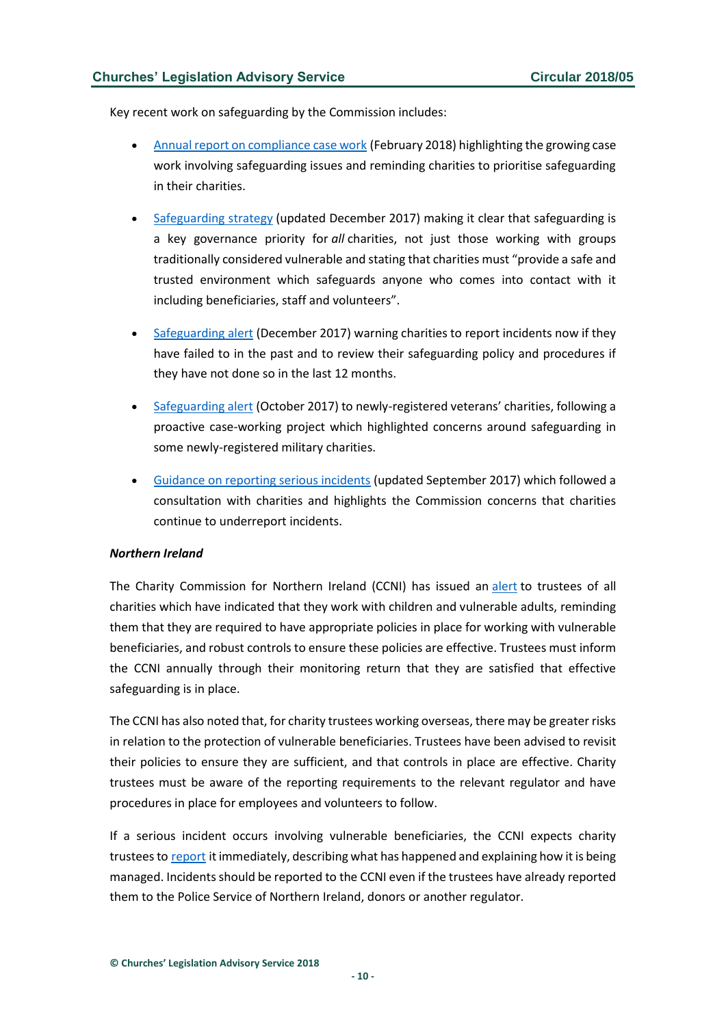Key recent work on safeguarding by the Commission includes:

- [Annual report on compliance case work](https://www.gov.uk/government/news/safeguarding-is-a-key-governance-priority-for-all-charities-regulator-reminds-trustees) (February 2018) highlighting the growing case work involving safeguarding issues and reminding charities to prioritise safeguarding in their charities.
- [Safeguarding strategy](https://www.gov.uk/government/publications/strategy-for-dealing-with-safeguarding-issues-in-charities) (updated December 2017) making it clear that safeguarding is a key governance priority for *all* charities, not just those working with groups traditionally considered vulnerable and stating that charities must "provide a safe and trusted environment which safeguards anyone who comes into contact with it including beneficiaries, staff and volunteers".
- [Safeguarding alert](https://www.gov.uk/government/news/regulatory-alert-to-charities-safeguarding) (December 2017) warning charities to report incidents now if they have failed to in the past and to review their safeguarding policy and procedures if they have not done so in the last 12 months.
- [Safeguarding alert](https://www.gov.uk/government/news/regulatory-alert-for-military-charities) (October 2017) to newly-registered veterans' charities, following a proactive case-working project which highlighted concerns around safeguarding in some newly-registered military charities.
- [Guidance on reporting serious incidents](https://www.gov.uk/guidance/how-to-report-a-serious-incident-in-your-charity) (updated September 2017) which followed a consultation with charities and highlights the Commission concerns that charities continue to underreport incidents.

#### *Northern Ireland*

The Charity Commission for Northern Ireland (CCNI) has issued an [alert](http://www.charitycommissionni.org.uk/news/alert-for-trustees-of-charities-working-with-vulnerable-beneficiaries/) to trustees of all charities which have indicated that they work with children and vulnerable adults, reminding them that they are required to have appropriate policies in place for working with vulnerable beneficiaries, and robust controls to ensure these policies are effective. Trustees must inform the CCNI annually through their monitoring return that they are satisfied that effective safeguarding is in place.

The CCNI has also noted that, for charity trustees working overseas, there may be greater risks in relation to the protection of vulnerable beneficiaries. Trustees have been advised to revisit their policies to ensure they are sufficient, and that controls in place are effective. Charity trustees must be aware of the reporting requirements to the relevant regulator and have procedures in place for employees and volunteers to follow.

If a serious incident occurs involving vulnerable beneficiaries, the CCNI expects charity trustees to [report](http://www.charitycommissionni.org.uk/concerns-and-decisions/serious-incident-reporting-a-guide-for-charity-trustees/) it immediately, describing what has happened and explaining how it is being managed. Incidents should be reported to the CCNI even if the trustees have already reported them to the Police Service of Northern Ireland, donors or another regulator.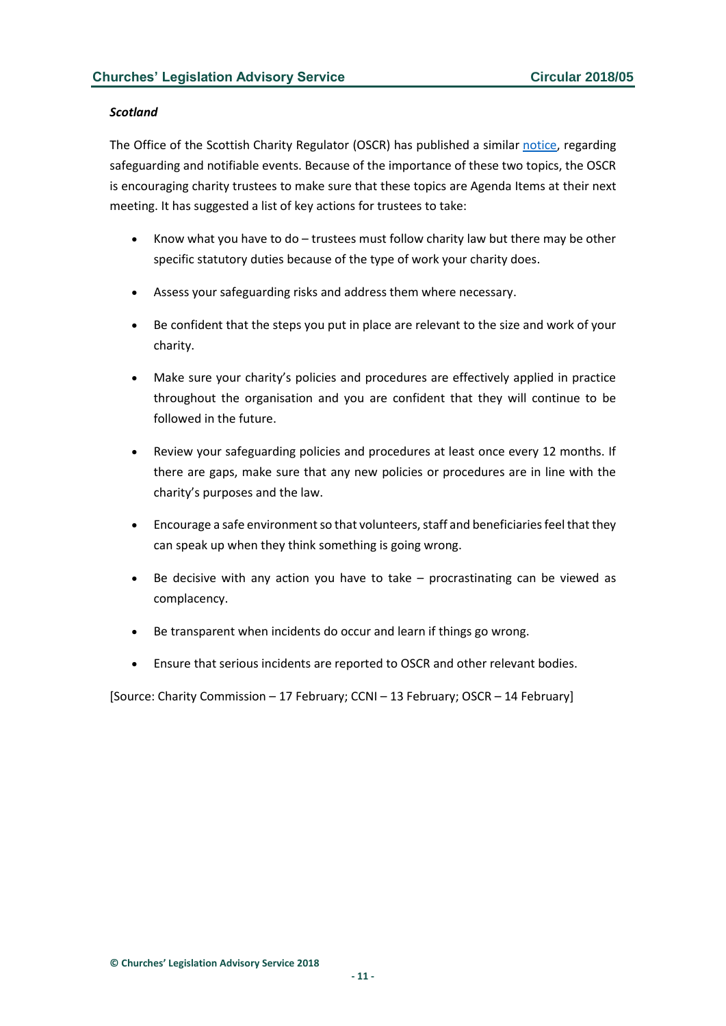#### *Scotland*

The Office of the Scottish Charity Regulator (OSCR) has published a similar [notice,](http://www.oscr.org.uk/news/safeguarding-and-notifiable-events-two-key-points-for-your-next-meeting) regarding safeguarding and notifiable events. Because of the importance of these two topics, the OSCR is encouraging charity trustees to make sure that these topics are Agenda Items at their next meeting. It has suggested a list of key actions for trustees to take:

- Know what you have to do trustees must follow charity law but there may be other specific statutory duties because of the type of work your charity does.
- Assess your safeguarding risks and address them where necessary.
- Be confident that the steps you put in place are relevant to the size and work of your charity.
- Make sure your charity's policies and procedures are effectively applied in practice throughout the organisation and you are confident that they will continue to be followed in the future.
- Review your safeguarding policies and procedures at least once every 12 months. If there are gaps, make sure that any new policies or procedures are in line with the charity's purposes and the law.
- Encourage a safe environment so that volunteers, staff and beneficiaries feel that they can speak up when they think something is going wrong.
- Be decisive with any action you have to take  $-$  procrastinating can be viewed as complacency.
- Be transparent when incidents do occur and learn if things go wrong.
- Ensure that serious incidents are reported to OSCR and other relevant bodies.

[Source: Charity Commission – 17 February; CCNI – 13 February; OSCR – 14 February]